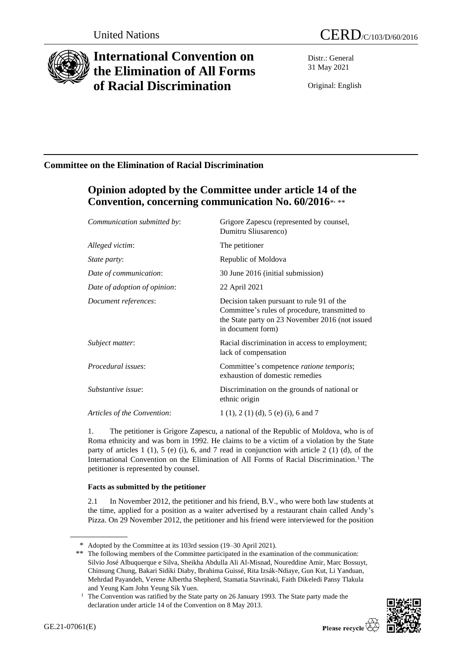

# **International Convention on the Elimination of All Forms of Racial Discrimination**

Distr.: General 31 May 2021

Original: English

## **Committee on the Elimination of Racial Discrimination**

## **Opinion adopted by the Committee under article 14 of the**  Convention, concerning communication No. 60/2016\*,\*\*

| Communication submitted by:  | Grigore Zapescu (represented by counsel,<br>Dumitru Sliusarenco)                                                                                                    |
|------------------------------|---------------------------------------------------------------------------------------------------------------------------------------------------------------------|
| Alleged victim:              | The petitioner                                                                                                                                                      |
| <i>State party:</i>          | Republic of Moldova                                                                                                                                                 |
| Date of communication:       | 30 June 2016 (initial submission)                                                                                                                                   |
| Date of adoption of opinion: | 22 April 2021                                                                                                                                                       |
| Document references:         | Decision taken pursuant to rule 91 of the<br>Committee's rules of procedure, transmitted to<br>the State party on 23 November 2016 (not issued<br>in document form) |
| Subject matter:              | Racial discrimination in access to employment;<br>lack of compensation                                                                                              |
| Procedural issues:           | Committee's competence ratione temporis;<br>exhaustion of domestic remedies                                                                                         |
| Substantive issue:           | Discrimination on the grounds of national or<br>ethnic origin                                                                                                       |
| Articles of the Convention:  | $1(1), 2(1)(d), 5(e)(i), 6$ and 7                                                                                                                                   |
|                              |                                                                                                                                                                     |

1. The petitioner is Grigore Zapescu, a national of the Republic of Moldova, who is of Roma ethnicity and was born in 1992. He claims to be a victim of a violation by the State party of articles  $1$  (1),  $5$  (e) (i),  $6$ , and  $7$  read in conjunction with article  $2$  (1) (d), of the International Convention on the Elimination of All Forms of Racial Discrimination.<sup>1</sup> The petitioner is represented by counsel.

### **Facts as submitted by the petitioner**

2.1 In November 2012, the petitioner and his friend, B.V., who were both law students at the time, applied for a position as a waiter advertised by a restaurant chain called Andy's Pizza. On 29 November 2012, the petitioner and his friend were interviewed for the position

<sup>&</sup>lt;sup>1</sup> The Convention was ratified by the State party on 26 January 1993. The State party made the declaration under article 14 of the Convention on 8 May 2013.



<sup>\*</sup> Adopted by the Committee at its 103rd session (19–30 April 2021).

<sup>\*\*</sup> The following members of the Committee participated in the examination of the communication: Silvio José Albuquerque e Silva, Sheikha Abdulla Ali Al-Misnad, Noureddine Amir, Marc Bossuyt, Chinsung Chung, Bakari Sidiki Diaby, Ibrahima Guissé, Rita Izsák-Ndiaye, Gun Kut, Li Yanduan, Mehrdad Payandeh, Verene Albertha Shepherd, Stamatia Stavrinaki, Faith Dikeledi Pansy Tlakula and Yeung Kam John Yeung Sik Yuen.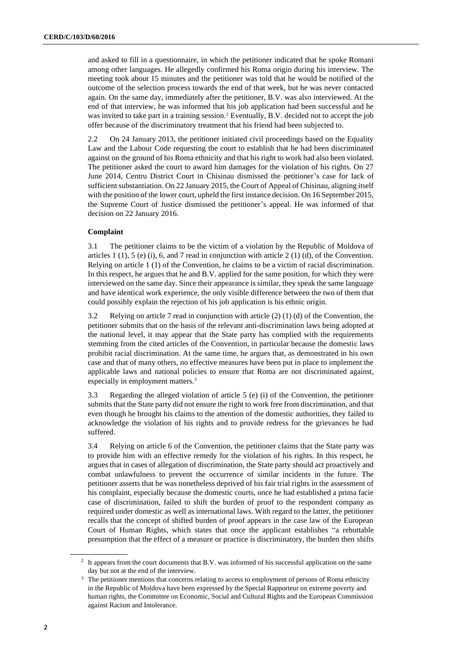and asked to fill in a questionnaire, in which the petitioner indicated that he spoke Romani among other languages. He allegedly confirmed his Roma origin during his interview. The meeting took about 15 minutes and the petitioner was told that he would be notified of the outcome of the selection process towards the end of that week, but he was never contacted again. On the same day, immediately after the petitioner, B.V. was also interviewed. At the end of that interview, he was informed that his job application had been successful and he was invited to take part in a training session.<sup>2</sup> Eventually, B.V. decided not to accept the job offer because of the discriminatory treatment that his friend had been subjected to.

2.2 On 24 January 2013, the petitioner initiated civil proceedings based on the Equality Law and the Labour Code requesting the court to establish that he had been discriminated against on the ground of his Roma ethnicity and that his right to work had also been violated. The petitioner asked the court to award him damages for the violation of his rights. On 27 June 2014, Centru District Court in Chisinau dismissed the petitioner's case for lack of sufficient substantiation. On 22 January 2015, the Court of Appeal of Chisinau, aligning itself with the position of the lower court, upheld the first instance decision. On 16 September 2015, the Supreme Court of Justice dismissed the petitioner's appeal. He was informed of that decision on 22 January 2016.

#### **Complaint**

3.1 The petitioner claims to be the victim of a violation by the Republic of Moldova of articles 1 (1), 5 (e) (i), 6, and 7 read in conjunction with article 2 (1) (d), of the Convention. Relying on article 1 (1) of the Convention, he claims to be a victim of racial discrimination. In this respect, he argues that he and B.V. applied for the same position, for which they were interviewed on the same day. Since their appearance is similar, they speak the same language and have identical work experience, the only visible difference between the two of them that could possibly explain the rejection of his job application is his ethnic origin.

3.2 Relying on article 7 read in conjunction with article (2) (1) (d) of the Convention, the petitioner submits that on the basis of the relevant anti-discrimination laws being adopted at the national level, it may appear that the State party has complied with the requirements stemming from the cited articles of the Convention, in particular because the domestic laws prohibit racial discrimination. At the same time, he argues that, as demonstrated in his own case and that of many others, no effective measures have been put in place to implement the applicable laws and national policies to ensure that Roma are not discriminated against, especially in employment matters.<sup>3</sup>

3.3 Regarding the alleged violation of article 5 (e) (i) of the Convention, the petitioner submits that the State party did not ensure the right to work free from discrimination, and that even though he brought his claims to the attention of the domestic authorities, they failed to acknowledge the violation of his rights and to provide redress for the grievances he had suffered.

3.4 Relying on article 6 of the Convention, the petitioner claims that the State party was to provide him with an effective remedy for the violation of his rights. In this respect, he argues that in cases of allegation of discrimination, the State party should act proactively and combat unlawfulness to prevent the occurrence of similar incidents in the future. The petitioner asserts that he was nonetheless deprived of his fair trial rights in the assessment of his complaint, especially because the domestic courts, once he had established a prima facie case of discrimination, failed to shift the burden of proof to the respondent company as required under domestic as well as international laws. With regard to the latter, the petitioner recalls that the concept of shifted burden of proof appears in the case law of the European Court of Human Rights, which states that once the applicant establishes "a rebuttable presumption that the effect of a measure or practice is discriminatory, the burden then shifts

<sup>&</sup>lt;sup>2</sup> It appears from the court documents that B.V. was informed of his successful application on the same day but not at the end of the interview.

<sup>&</sup>lt;sup>3</sup> The petitioner mentions that concerns relating to access to employment of persons of Roma ethnicity in the Republic of Moldova have been expressed by the Special Rapporteur on extreme poverty and human rights, the Committee on Economic, Social and Cultural Rights and the European Commission against Racism and Intolerance.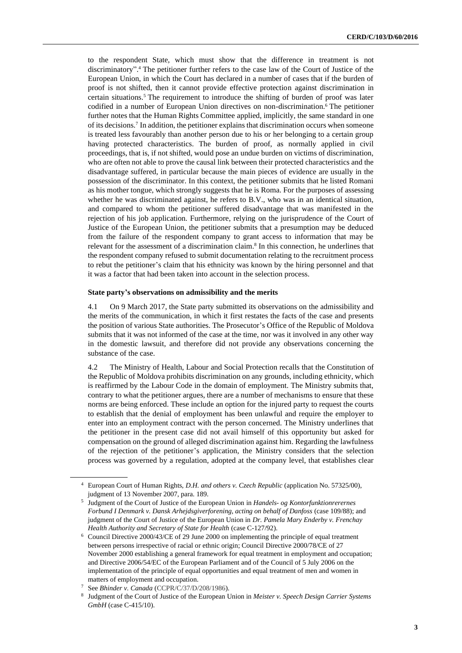to the respondent State, which must show that the difference in treatment is not discriminatory". <sup>4</sup> The petitioner further refers to the case law of the Court of Justice of the European Union, in which the Court has declared in a number of cases that if the burden of proof is not shifted, then it cannot provide effective protection against discrimination in certain situations.<sup>5</sup> The requirement to introduce the shifting of burden of proof was later codified in a number of European Union directives on non-discrimination.<sup>6</sup> The petitioner further notes that the Human Rights Committee applied, implicitly, the same standard in one of its decisions.<sup>7</sup> In addition, the petitioner explains that discrimination occurs when someone is treated less favourably than another person due to his or her belonging to a certain group having protected characteristics. The burden of proof, as normally applied in civil proceedings, that is, if not shifted, would pose an undue burden on victims of discrimination, who are often not able to prove the causal link between their protected characteristics and the disadvantage suffered, in particular because the main pieces of evidence are usually in the possession of the discriminator. In this context, the petitioner submits that he listed Romani as his mother tongue, which strongly suggests that he is Roma. For the purposes of assessing whether he was discriminated against, he refers to B.V., who was in an identical situation, and compared to whom the petitioner suffered disadvantage that was manifested in the rejection of his job application. Furthermore, relying on the jurisprudence of the Court of Justice of the European Union, the petitioner submits that a presumption may be deduced from the failure of the respondent company to grant access to information that may be relevant for the assessment of a discrimination claim.<sup>8</sup> In this connection, he underlines that the respondent company refused to submit documentation relating to the recruitment process to rebut the petitioner's claim that his ethnicity was known by the hiring personnel and that it was a factor that had been taken into account in the selection process.

#### **State party's observations on admissibility and the merits**

4.1 On 9 March 2017, the State party submitted its observations on the admissibility and the merits of the communication, in which it first restates the facts of the case and presents the position of various State authorities. The Prosecutor's Office of the Republic of Moldova submits that it was not informed of the case at the time, nor was it involved in any other way in the domestic lawsuit, and therefore did not provide any observations concerning the substance of the case.

4.2 The Ministry of Health, Labour and Social Protection recalls that the Constitution of the Republic of Moldova prohibits discrimination on any grounds, including ethnicity, which is reaffirmed by the Labour Code in the domain of employment. The Ministry submits that, contrary to what the petitioner argues, there are a number of mechanisms to ensure that these norms are being enforced. These include an option for the injured party to request the courts to establish that the denial of employment has been unlawful and require the employer to enter into an employment contract with the person concerned. The Ministry underlines that the petitioner in the present case did not avail himself of this opportunity but asked for compensation on the ground of alleged discrimination against him. Regarding the lawfulness of the rejection of the petitioner's application, the Ministry considers that the selection process was governed by a regulation, adopted at the company level, that establishes clear

<sup>4</sup> European Court of Human Rights, *D.H. and others v. Czech Republic* (application No. 57325/00), judgment of 13 November 2007, para. 189.

<sup>5</sup> Judgment of the Court of Justice of the European Union in *Handels- og Kontorfunktionrerernes Forbund I Denmark v. Dansk Arhejdsgiverforening, acting on behalf of Danfoss* (case 109/88); and judgment of the Court of Justice of the European Union in *Dr. Pamela Mary Enderby v. Frenchay Health Authority and Secretary of State for Health* (case C-127/92).

<sup>6</sup> Council Directive 2000/43/CE of 29 June 2000 on implementing the principle of equal treatment between persons irrespective of racial or ethnic origin; Council Directive 2000/78/CE of 27 November 2000 establishing a general framework for equal treatment in employment and occupation; and Directive 2006/54/EC of the European Parliament and of the Council of 5 July 2006 on the implementation of the principle of equal opportunities and equal treatment of men and women in matters of employment and occupation.

See *Bhinder v. Canada* (CCPR/C/37/D/208/1986).

<sup>8</sup> Judgment of the Court of Justice of the European Union in *Meister v. Speech Design Carrier Systems GmbH* (case C-415/10).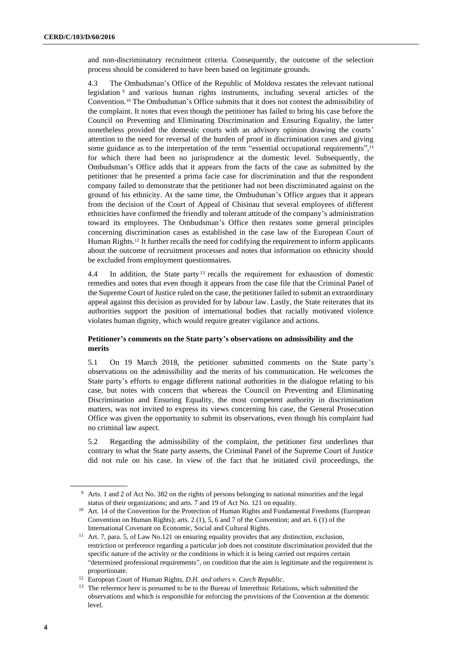and non-discriminatory recruitment criteria. Consequently, the outcome of the selection process should be considered to have been based on legitimate grounds.

4.3 The Ombudsman's Office of the Republic of Moldova restates the relevant national legislation <sup>9</sup> and various human rights instruments, including several articles of the Convention.<sup>10</sup> The Ombudsman's Office submits that it does not contest the admissibility of the complaint. It notes that even though the petitioner has failed to bring his case before the Council on Preventing and Eliminating Discrimination and Ensuring Equality, the latter nonetheless provided the domestic courts with an advisory opinion drawing the courts' attention to the need for reversal of the burden of proof in discrimination cases and giving some guidance as to the interpretation of the term "essential occupational requirements",<sup>11</sup> for which there had been no jurisprudence at the domestic level. Subsequently, the Ombudsman's Office adds that it appears from the facts of the case as submitted by the petitioner that he presented a prima facie case for discrimination and that the respondent company failed to demonstrate that the petitioner had not been discriminated against on the ground of his ethnicity. At the same time, the Ombudsman's Office argues that it appears from the decision of the Court of Appeal of Chisinau that several employees of different ethnicities have confirmed the friendly and tolerant attitude of the company's administration toward its employees. The Ombudsman's Office then restates some general principles concerning discrimination cases as established in the case law of the European Court of Human Rights.<sup>12</sup> It further recalls the need for codifying the requirement to inform applicants about the outcome of recruitment processes and notes that information on ethnicity should be excluded from employment questionnaires.

4.4 In addition, the State party<sup>13</sup> recalls the requirement for exhaustion of domestic remedies and notes that even though it appears from the case file that the Criminal Panel of the Supreme Court of Justice ruled on the case, the petitioner failed to submit an extraordinary appeal against this decision as provided for by labour law. Lastly, the State reiterates that its authorities support the position of international bodies that racially motivated violence violates human dignity, which would require greater vigilance and actions.

#### **Petitioner's comments on the State party's observations on admissibility and the merits**

5.1 On 19 March 2018, the petitioner submitted comments on the State party's observations on the admissibility and the merits of his communication. He welcomes the State party's efforts to engage different national authorities in the dialogue relating to his case, but notes with concern that whereas the Council on Preventing and Eliminating Discrimination and Ensuring Equality, the most competent authority in discrimination matters, was not invited to express its views concerning his case, the General Prosecution Office was given the opportunity to submit its observations, even though his complaint had no criminal law aspect.

5.2 Regarding the admissibility of the complaint, the petitioner first underlines that contrary to what the State party asserts, the Criminal Panel of the Supreme Court of Justice did not rule on his case. In view of the fact that he initiated civil proceedings, the

<sup>9</sup> Arts. 1 and 2 of Act No. 382 on the rights of persons belonging to national minorities and the legal status of their organizations; and arts. 7 and 19 of Act No. 121 on equality.

<sup>&</sup>lt;sup>10</sup> Art. 14 of the Convention for the Protection of Human Rights and Fundamental Freedoms (European Convention on Human Rights); arts. 2 (1), 5, 6 and 7 of the Convention; and art. 6 (1) of the International Covenant on Economic, Social and Cultural Rights.

<sup>&</sup>lt;sup>11</sup> Art. 7, para. 5, of Law No.121 on ensuring equality provides that any distinction, exclusion, restriction or preference regarding a particular job does not constitute discrimination provided that the specific nature of the activity or the conditions in which it is being carried out requires certain "determined professional requirements", on condition that the aim is legitimate and the requirement is proportionate.

<sup>12</sup> European Court of Human Rights, *D.H. and others v. Czech Republic*.

<sup>&</sup>lt;sup>13</sup> The reference here is presumed to be to the Bureau of Interethnic Relations, which submitted the observations and which is responsible for enforcing the provisions of the Convention at the domestic level.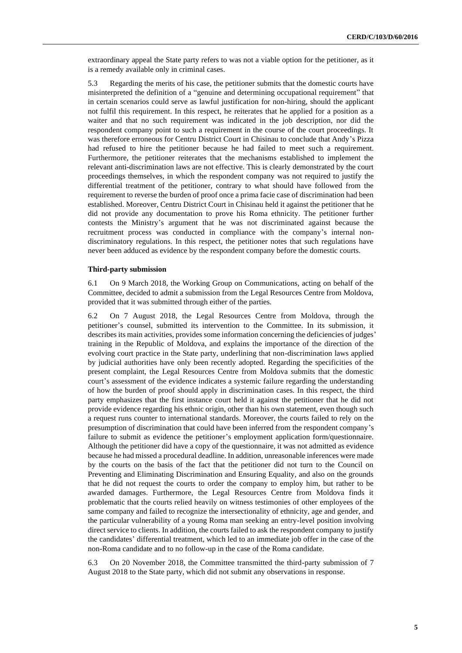extraordinary appeal the State party refers to was not a viable option for the petitioner, as it is a remedy available only in criminal cases.

5.3 Regarding the merits of his case, the petitioner submits that the domestic courts have misinterpreted the definition of a "genuine and determining occupational requirement" that in certain scenarios could serve as lawful justification for non-hiring, should the applicant not fulfil this requirement. In this respect, he reiterates that he applied for a position as a waiter and that no such requirement was indicated in the job description, nor did the respondent company point to such a requirement in the course of the court proceedings. It was therefore erroneous for Centru District Court in Chisinau to conclude that Andy's Pizza had refused to hire the petitioner because he had failed to meet such a requirement. Furthermore, the petitioner reiterates that the mechanisms established to implement the relevant anti-discrimination laws are not effective. This is clearly demonstrated by the court proceedings themselves, in which the respondent company was not required to justify the differential treatment of the petitioner, contrary to what should have followed from the requirement to reverse the burden of proof once a prima facie case of discrimination had been established. Moreover, Centru District Court in Chisinau held it against the petitioner that he did not provide any documentation to prove his Roma ethnicity. The petitioner further contests the Ministry's argument that he was not discriminated against because the recruitment process was conducted in compliance with the company's internal nondiscriminatory regulations. In this respect, the petitioner notes that such regulations have never been adduced as evidence by the respondent company before the domestic courts.

#### **Third-party submission**

6.1 On 9 March 2018, the Working Group on Communications, acting on behalf of the Committee, decided to admit a submission from the Legal Resources Centre from Moldova, provided that it was submitted through either of the parties.

6.2 On 7 August 2018, the Legal Resources Centre from Moldova, through the petitioner's counsel, submitted its intervention to the Committee. In its submission, it describes its main activities, provides some information concerning the deficiencies of judges' training in the Republic of Moldova, and explains the importance of the direction of the evolving court practice in the State party, underlining that non-discrimination laws applied by judicial authorities have only been recently adopted. Regarding the specificities of the present complaint, the Legal Resources Centre from Moldova submits that the domestic court's assessment of the evidence indicates a systemic failure regarding the understanding of how the burden of proof should apply in discrimination cases. In this respect, the third party emphasizes that the first instance court held it against the petitioner that he did not provide evidence regarding his ethnic origin, other than his own statement, even though such a request runs counter to international standards. Moreover, the courts failed to rely on the presumption of discrimination that could have been inferred from the respondent company's failure to submit as evidence the petitioner's employment application form/questionnaire. Although the petitioner did have a copy of the questionnaire, it was not admitted as evidence because he had missed a procedural deadline. In addition, unreasonable inferences were made by the courts on the basis of the fact that the petitioner did not turn to the Council on Preventing and Eliminating Discrimination and Ensuring Equality, and also on the grounds that he did not request the courts to order the company to employ him, but rather to be awarded damages. Furthermore, the Legal Resources Centre from Moldova finds it problematic that the courts relied heavily on witness testimonies of other employees of the same company and failed to recognize the intersectionality of ethnicity, age and gender, and the particular vulnerability of a young Roma man seeking an entry-level position involving direct service to clients. In addition, the courts failed to ask the respondent company to justify the candidates' differential treatment, which led to an immediate job offer in the case of the non-Roma candidate and to no follow-up in the case of the Roma candidate.

6.3 On 20 November 2018, the Committee transmitted the third-party submission of 7 August 2018 to the State party, which did not submit any observations in response.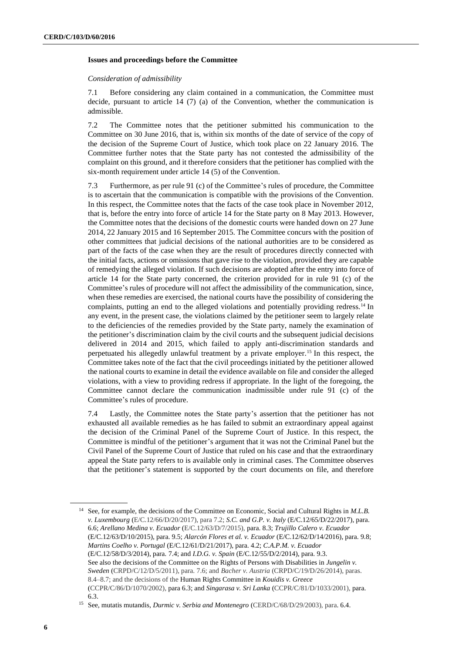#### **Issues and proceedings before the Committee**

#### *Consideration of admissibility*

7.1 Before considering any claim contained in a communication, the Committee must decide, pursuant to article 14 (7) (a) of the Convention, whether the communication is admissible.

7.2 The Committee notes that the petitioner submitted his communication to the Committee on 30 June 2016, that is, within six months of the date of service of the copy of the decision of the Supreme Court of Justice, which took place on 22 January 2016. The Committee further notes that the State party has not contested the admissibility of the complaint on this ground, and it therefore considers that the petitioner has complied with the six-month requirement under article 14 (5) of the Convention.

7.3 Furthermore, as per rule 91 (c) of the Committee's rules of procedure, the Committee is to ascertain that the communication is compatible with the provisions of the Convention. In this respect, the Committee notes that the facts of the case took place in November 2012, that is, before the entry into force of article 14 for the State party on 8 May 2013. However, the Committee notes that the decisions of the domestic courts were handed down on 27 June 2014, 22 January 2015 and 16 September 2015. The Committee concurs with the position of other committees that judicial decisions of the national authorities are to be considered as part of the facts of the case when they are the result of procedures directly connected with the initial facts, actions or omissions that gave rise to the violation, provided they are capable of remedying the alleged violation. If such decisions are adopted after the entry into force of article 14 for the State party concerned, the criterion provided for in rule 91 (c) of the Committee's rules of procedure will not affect the admissibility of the communication, since, when these remedies are exercised, the national courts have the possibility of considering the complaints, putting an end to the alleged violations and potentially providing redress.<sup>14</sup> In any event, in the present case, the violations claimed by the petitioner seem to largely relate to the deficiencies of the remedies provided by the State party, namely the examination of the petitioner's discrimination claim by the civil courts and the subsequent judicial decisions delivered in 2014 and 2015, which failed to apply anti-discrimination standards and perpetuated his allegedly unlawful treatment by a private employer.<sup>15</sup> In this respect, the Committee takes note of the fact that the civil proceedings initiated by the petitioner allowed the national courts to examine in detail the evidence available on file and consider the alleged violations, with a view to providing redress if appropriate. In the light of the foregoing, the Committee cannot declare the communication inadmissible under rule 91 (c) of the Committee's rules of procedure.

7.4 Lastly, the Committee notes the State party's assertion that the petitioner has not exhausted all available remedies as he has failed to submit an extraordinary appeal against the decision of the Criminal Panel of the Supreme Court of Justice. In this respect, the Committee is mindful of the petitioner's argument that it was not the Criminal Panel but the Civil Panel of the Supreme Court of Justice that ruled on his case and that the extraordinary appeal the State party refers to is available only in criminal cases. The Committee observes that the petitioner's statement is supported by the court documents on file, and therefore

<sup>14</sup> See, for example, the decisions of the Committee on Economic, Social and Cultural Rights in *M.L.B. v. Luxembourg* (E/C.12/66/D/20/2017), para 7.2; *S.C. and G.P. v. Italy* (E/C.12/65/D/22/2017), para. 6.6; *Arellano Medina v. Ecuador* (E/C.12/63/D/7/2015), para. 8.3; *Trujillo Calero v. Ecuador*  (E/C.12/63/D/10/2015), para. 9.5; *Alarcón Flores et al. v. Ecuador* (E/C.12/62/D/14/2016), para. 9.8; *Martins Coelho v. Portugal* (E/C.12/61/D/21/2017), para. 4.2; *C.A.P.M. v. Ecuador*  (E/C.12/58/D/3/2014), para. 7.4; and *I.D.G. v. Spain* (E/C.12/55/D/2/2014), para. 9.3. See also the decisions of the Committee on the Rights of Persons with Disabilities in *Jungelin v. Sweden* (CRPD/C/12/D/5/2011), para. 7.6; and *Bacher v. Austria* (CRPD/C/19/D/26/2014), paras. 8.4–8.7; and the decisions of the Human Rights Committee in *Kouidis v. Greece* (CCPR/C/86/D/1070/2002), para 6.3; and *Singarasa v. Sri Lanka* (CCPR/C/81/D/1033/2001), para. 6.3.

<sup>15</sup> See, mutatis mutandis, *Durmic v. Serbia and Montenegro* (CERD/C/68/D/29/2003), para. 6.4.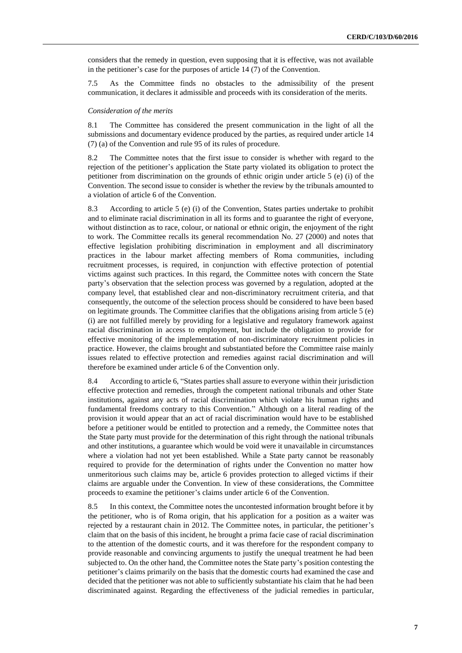considers that the remedy in question, even supposing that it is effective, was not available in the petitioner's case for the purposes of article 14 (7) of the Convention.

7.5 As the Committee finds no obstacles to the admissibility of the present communication, it declares it admissible and proceeds with its consideration of the merits.

#### *Consideration of the merits*

8.1 The Committee has considered the present communication in the light of all the submissions and documentary evidence produced by the parties, as required under article 14 (7) (a) of the Convention and rule 95 of its rules of procedure.

8.2 The Committee notes that the first issue to consider is whether with regard to the rejection of the petitioner's application the State party violated its obligation to protect the petitioner from discrimination on the grounds of ethnic origin under article 5 (e) (i) of the Convention. The second issue to consider is whether the review by the tribunals amounted to a violation of article 6 of the Convention.

8.3 According to article 5 (e) (i) of the Convention, States parties undertake to prohibit and to eliminate racial discrimination in all its forms and to guarantee the right of everyone, without distinction as to race, colour, or national or ethnic origin, the enjoyment of the right to work. The Committee recalls its general recommendation No. 27 (2000) and notes that effective legislation prohibiting discrimination in employment and all discriminatory practices in the labour market affecting members of Roma communities, including recruitment processes, is required, in conjunction with effective protection of potential victims against such practices. In this regard, the Committee notes with concern the State party's observation that the selection process was governed by a regulation, adopted at the company level, that established clear and non-discriminatory recruitment criteria, and that consequently, the outcome of the selection process should be considered to have been based on legitimate grounds. The Committee clarifies that the obligations arising from article 5 (e) (i) are not fulfilled merely by providing for a legislative and regulatory framework against racial discrimination in access to employment, but include the obligation to provide for effective monitoring of the implementation of non-discriminatory recruitment policies in practice. However, the claims brought and substantiated before the Committee raise mainly issues related to effective protection and remedies against racial discrimination and will therefore be examined under article 6 of the Convention only.

8.4 According to article 6, "States parties shall assure to everyone within their jurisdiction effective protection and remedies, through the competent national tribunals and other State institutions, against any acts of racial discrimination which violate his human rights and fundamental freedoms contrary to this Convention." Although on a literal reading of the provision it would appear that an act of racial discrimination would have to be established before a petitioner would be entitled to protection and a remedy, the Committee notes that the State party must provide for the determination of this right through the national tribunals and other institutions, a guarantee which would be void were it unavailable in circumstances where a violation had not yet been established. While a State party cannot be reasonably required to provide for the determination of rights under the Convention no matter how unmeritorious such claims may be, article 6 provides protection to alleged victims if their claims are arguable under the Convention. In view of these considerations, the Committee proceeds to examine the petitioner's claims under article 6 of the Convention.

8.5 In this context, the Committee notes the uncontested information brought before it by the petitioner, who is of Roma origin, that his application for a position as a waiter was rejected by a restaurant chain in 2012. The Committee notes, in particular, the petitioner's claim that on the basis of this incident, he brought a prima facie case of racial discrimination to the attention of the domestic courts, and it was therefore for the respondent company to provide reasonable and convincing arguments to justify the unequal treatment he had been subjected to. On the other hand, the Committee notes the State party's position contesting the petitioner's claims primarily on the basis that the domestic courts had examined the case and decided that the petitioner was not able to sufficiently substantiate his claim that he had been discriminated against. Regarding the effectiveness of the judicial remedies in particular,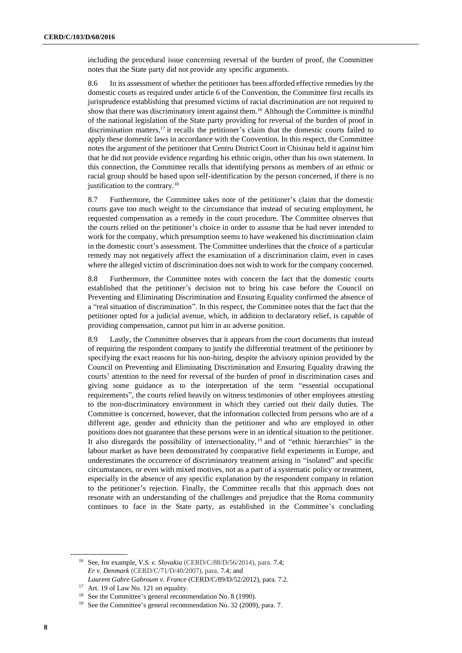including the procedural issue concerning reversal of the burden of proof, the Committee notes that the State party did not provide any specific arguments.

8.6 In its assessment of whether the petitioner has been afforded effective remedies by the domestic courts as required under article 6 of the Convention, the Committee first recalls its jurisprudence establishing that presumed victims of racial discrimination are not required to show that there was discriminatory intent against them.<sup>16</sup> Although the Committee is mindful of the national legislation of the State party providing for reversal of the burden of proof in discrimination matters,<sup>17</sup> it recalls the petitioner's claim that the domestic courts failed to apply these domestic laws in accordance with the Convention. In this respect, the Committee notes the argument of the petitioner that Centru District Court in Chisinau held it against him that he did not provide evidence regarding his ethnic origin, other than his own statement. In this connection, the Committee recalls that identifying persons as members of an ethnic or racial group should be based upon self-identification by the person concerned, if there is no justification to the contrary.<sup>18</sup>

8.7 Furthermore, the Committee takes note of the petitioner's claim that the domestic courts gave too much weight to the circumstance that instead of securing employment, he requested compensation as a remedy in the court procedure. The Committee observes that the courts relied on the petitioner's choice in order to assume that he had never intended to work for the company, which presumption seems to have weakened his discrimination claim in the domestic court's assessment. The Committee underlines that the choice of a particular remedy may not negatively affect the examination of a discrimination claim, even in cases where the alleged victim of discrimination does not wish to work for the company concerned.

8.8 Furthermore, the Committee notes with concern the fact that the domestic courts established that the petitioner's decision not to bring his case before the Council on Preventing and Eliminating Discrimination and Ensuring Equality confirmed the absence of a "real situation of discrimination". In this respect, the Committee notes that the fact that the petitioner opted for a judicial avenue, which, in addition to declaratory relief, is capable of providing compensation, cannot put him in an adverse position.

8.9 Lastly, the Committee observes that it appears from the court documents that instead of requiring the respondent company to justify the differential treatment of the petitioner by specifying the exact reasons for his non-hiring, despite the advisory opinion provided by the Council on Preventing and Eliminating Discrimination and Ensuring Equality drawing the courts' attention to the need for reversal of the burden of proof in discrimination cases and giving some guidance as to the interpretation of the term "essential occupational requirements", the courts relied heavily on witness testimonies of other employees attesting to the non-discriminatory environment in which they carried out their daily duties. The Committee is concerned, however, that the information collected from persons who are of a different age, gender and ethnicity than the petitioner and who are employed in other positions does not guarantee that these persons were in an identical situation to the petitioner. It also disregards the possibility of intersectionality, <sup>19</sup> and of "ethnic hierarchies" in the labour market as have been demonstrated by comparative field experiments in Europe, and underestimates the occurrence of discriminatory treatment arising in "isolated" and specific circumstances, or even with mixed motives, not as a part of a systematic policy or treatment, especially in the absence of any specific explanation by the respondent company in relation to the petitioner's rejection. Finally, the Committee recalls that this approach does not resonate with an understanding of the challenges and prejudice that the Roma community continues to face in the State party, as established in the Committee's concluding

<sup>16</sup> See, for example, *V.S. v. Slovakia* (CERD/C/88/D/56/2014), para. 7.4; *Er v. Denmark* (CERD/C/71/D/40/2007), para. 7.4; and *Laurent Gabre Gabroum v. France* (CERD/C/89/D/52/2012), para. 7.2.

<sup>&</sup>lt;sup>17</sup> Art. 19 of Law No. 121 on equality.

<sup>18</sup> See the Committee's general recommendation No. 8 (1990).

<sup>&</sup>lt;sup>19</sup> See the Committee's general recommendation No. 32 (2009), para. 7.